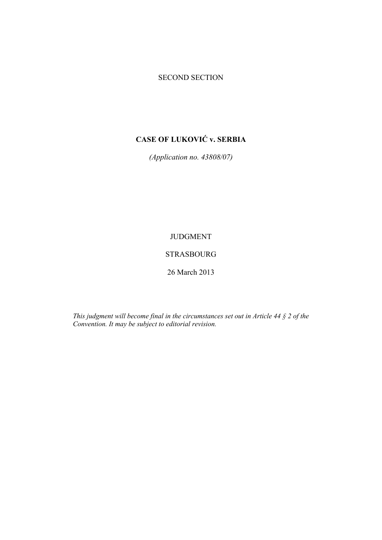# SECOND SECTION

# **CASE OF LUKOVIĆ v. SERBIA**

*(Application no. 43808/07)* 

# JUDGMENT

# STRASBOURG

26 March 2013

*This judgment will become final in the circumstances set out in Article 44 § 2 of the Convention. It may be subject to editorial revision.*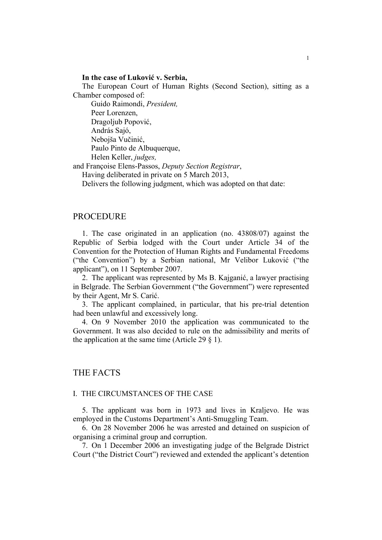# **In the case of Luković v. Serbia,**

The European Court of Human Rights (Second Section), sitting as a Chamber composed of:

 Guido Raimondi, *President,*  Peer Lorenzen, Dragoljub Popović, András Sajó, Nebojša Vučinić, Paulo Pinto de Albuquerque, Helen Keller, *judges,* 

and Françoise Elens-Passos, *Deputy Section Registrar*,

Having deliberated in private on 5 March 2013,

Delivers the following judgment, which was adopted on that date:

# PROCEDURE

1. The case originated in an application (no. 43808/07) against the Republic of Serbia lodged with the Court under Article 34 of the Convention for the Protection of Human Rights and Fundamental Freedoms ("the Convention") by a Serbian national, Mr Velibor Luković ("the applicant"), on 11 September 2007.

2. The applicant was represented by Ms B. Kajganić, a lawyer practising in Belgrade. The Serbian Government ("the Government") were represented by their Agent, Mr S. Carić.

3. The applicant complained, in particular, that his pre-trial detention had been unlawful and excessively long.

4. On 9 November 2010 the application was communicated to the Government. It was also decided to rule on the admissibility and merits of the application at the same time (Article 29  $\S$  1).

# THE FACTS

# I. THE CIRCUMSTANCES OF THE CASE

5. The applicant was born in 1973 and lives in Kraljevo. He was employed in the Customs Department's Anti-Smuggling Team.

6. On 28 November 2006 he was arrested and detained on suspicion of organising a criminal group and corruption.

7. On 1 December 2006 an investigating judge of the Belgrade District Court ("the District Court") reviewed and extended the applicant's detention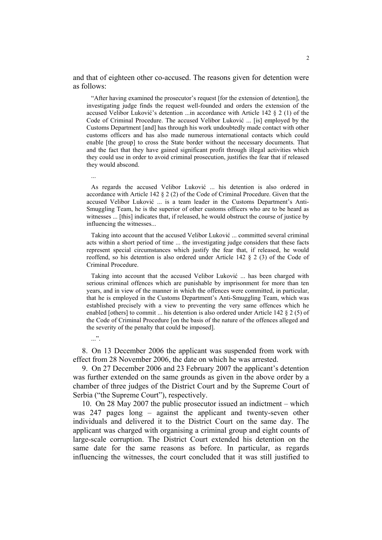and that of eighteen other co-accused. The reasons given for detention were as follows:

"After having examined the prosecutor's request [for the extension of detention], the investigating judge finds the request well-founded and orders the extension of the accused Velibor Luković's detention ...in accordance with Article 142 § 2 (1) of the Code of Criminal Procedure. The accused Velibor Luković ... [is] employed by the Customs Department [and] has through his work undoubtedly made contact with other customs officers and has also made numerous international contacts which could enable [the group] to cross the State border without the necessary documents. That and the fact that they have gained significant profit through illegal activities which they could use in order to avoid criminal prosecution, justifies the fear that if released they would abscond.

As regards the accused Velibor Luković ... his detention is also ordered in accordance with Article 142 § 2 (2) of the Code of Criminal Procedure. Given that the accused Velibor Luković ... is a team leader in the Customs Department's Anti-Smuggling Team, he is the superior of other customs officers who are to be heard as witnesses ... [this] indicates that, if released, he would obstruct the course of justice by influencing the witnesses...

Taking into account that the accused Velibor Luković ... committed several criminal acts within a short period of time ... the investigating judge considers that these facts represent special circumstances which justify the fear that, if released, he would reoffend, so his detention is also ordered under Article 142 § 2 (3) of the Code of Criminal Procedure.

Taking into account that the accused Velibor Luković ... has been charged with serious criminal offences which are punishable by imprisonment for more than ten years, and in view of the manner in which the offences were committed, in particular, that he is employed in the Customs Department's Anti-Smuggling Team, which was established precisely with a view to preventing the very same offences which he enabled [others] to commit ... his detention is also ordered under Article 142 § 2 (5) of the Code of Criminal Procedure [on the basis of the nature of the offences alleged and the severity of the penalty that could be imposed].

 $\cdot$ .".

...

8. On 13 December 2006 the applicant was suspended from work with effect from 28 November 2006, the date on which he was arrested.

9. On 27 December 2006 and 23 February 2007 the applicant's detention was further extended on the same grounds as given in the above order by a chamber of three judges of the District Court and by the Supreme Court of Serbia ("the Supreme Court"), respectively.

10. On 28 May 2007 the public prosecutor issued an indictment – which was 247 pages long – against the applicant and twenty-seven other individuals and delivered it to the District Court on the same day. The applicant was charged with organising a criminal group and eight counts of large-scale corruption. The District Court extended his detention on the same date for the same reasons as before. In particular, as regards influencing the witnesses, the court concluded that it was still justified to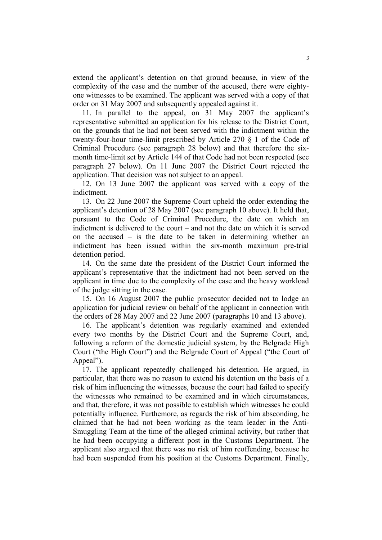extend the applicant's detention on that ground because, in view of the complexity of the case and the number of the accused, there were eightyone witnesses to be examined. The applicant was served with a copy of that order on 31 May 2007 and subsequently appealed against it.

11. In parallel to the appeal, on 31 May 2007 the applicant's representative submitted an application for his release to the District Court, on the grounds that he had not been served with the indictment within the twenty-four-hour time-limit prescribed by Article 270 § 1 of the Code of Criminal Procedure (see paragraph 28 below) and that therefore the sixmonth time-limit set by Article 144 of that Code had not been respected (see paragraph 27 below). On 11 June 2007 the District Court rejected the application. That decision was not subject to an appeal.

12. On 13 June 2007 the applicant was served with a copy of the indictment.

13. On 22 June 2007 the Supreme Court upheld the order extending the applicant's detention of 28 May 2007 (see paragraph 10 above). It held that, pursuant to the Code of Criminal Procedure, the date on which an indictment is delivered to the court – and not the date on which it is served on the accused – is the date to be taken in determining whether an indictment has been issued within the six-month maximum pre-trial detention period.

14. On the same date the president of the District Court informed the applicant's representative that the indictment had not been served on the applicant in time due to the complexity of the case and the heavy workload of the judge sitting in the case.

15. On 16 August 2007 the public prosecutor decided not to lodge an application for judicial review on behalf of the applicant in connection with the orders of 28 May 2007 and 22 June 2007 (paragraphs 10 and 13 above).

16. The applicant's detention was regularly examined and extended every two months by the District Court and the Supreme Court, and, following a reform of the domestic judicial system, by the Belgrade High Court ("the High Court") and the Belgrade Court of Appeal ("the Court of Appeal").

17. The applicant repeatedly challenged his detention. He argued, in particular, that there was no reason to extend his detention on the basis of a risk of him influencing the witnesses, because the court had failed to specify the witnesses who remained to be examined and in which circumstances, and that, therefore, it was not possible to establish which witnesses he could potentially influence. Furthemore, as regards the risk of him absconding, he claimed that he had not been working as the team leader in the Anti-Smuggling Team at the time of the alleged criminal activity, but rather that he had been occupying a different post in the Customs Department. The applicant also argued that there was no risk of him reoffending, because he had been suspended from his position at the Customs Department. Finally,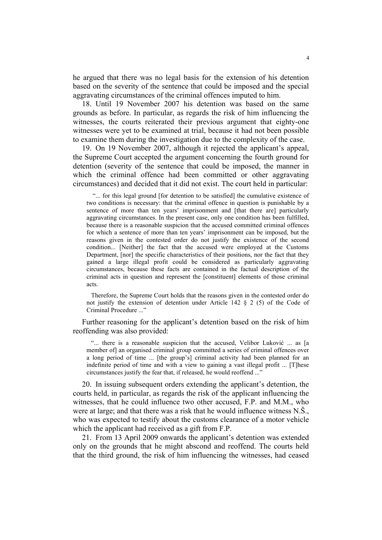he argued that there was no legal basis for the extension of his detention based on the severity of the sentence that could be imposed and the special aggravating circumstances of the criminal offences imputed to him.

18. Until 19 November 2007 his detention was based on the same grounds as before. In particular, as regards the risk of him influencing the witnesses, the courts reiterated their previous argument that eighty-one witnesses were yet to be examined at trial, because it had not been possible to examine them during the investigation due to the complexity of the case.

19. On 19 November 2007, although it rejected the applicant's appeal, the Supreme Court accepted the argument concerning the fourth ground for detention (severity of the sentence that could be imposed, the manner in which the criminal offence had been committed or other aggravating circumstances) and decided that it did not exist. The court held in particular:

 "... for this legal ground [for detention to be satisfied] the cumulative existence of two conditions is necessary: that the criminal offence in question is punishable by a sentence of more than ten years' imprisonment and [that there are] particularly aggravating circumstances. In the present case, only one condition has been fulfilled, because there is a reasonable suspicion that the accused committed criminal offences for which a sentence of more than ten years' imprisonment can be imposed, but the reasons given in the contested order do not justify the existence of the second condition... [Neither] the fact that the accused were employed at the Customs Department, [nor] the specific characteristics of their positions, nor the fact that they gained a large illegal profit could be considered as particularly aggravating circumstances, because these facts are contained in the factual description of the criminal acts in question and represent the [constituent] elements of those criminal acts.

Therefore, the Supreme Court holds that the reasons given in the contested order do not justify the extension of detention under Article 142 § 2 (5) of the Code of Criminal Procedure ..."

Further reasoning for the applicant's detention based on the risk of him reoffending was also provided:

"... there is a reasonable suspicion that the accused, Velibor Luković ... as [a member of] an organised criminal group committed a series of criminal offences over a long period of time ... [the group's] criminal activity had been planned for an indefinite period of time and with a view to gaining a vast illegal profit ... [T]hese circumstances justify the fear that, if released, he would reoffend ..."

20. In issuing subsequent orders extending the applicant's detention, the courts held, in particular, as regards the risk of the applicant influencing the witnesses, that he could influence two other accused, F.P. and M.M., who were at large; and that there was a risk that he would influence witness N.Š., who was expected to testify about the customs clearance of a motor vehicle which the applicant had received as a gift from F.P.

21. From 13 April 2009 onwards the applicant's detention was extended only on the grounds that he might abscond and reoffend. The courts held that the third ground, the risk of him influencing the witnesses, had ceased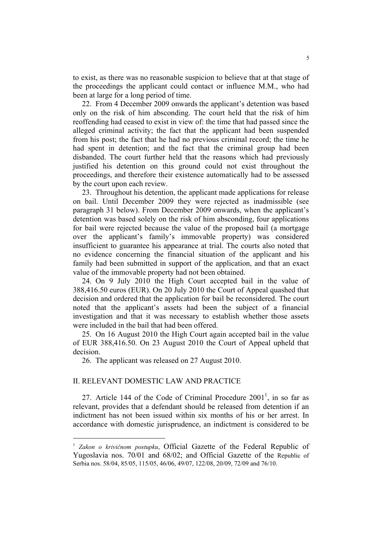to exist, as there was no reasonable suspicion to believe that at that stage of the proceedings the applicant could contact or influence M.M., who had been at large for a long period of time.

22. From 4 December 2009 onwards the applicant's detention was based only on the risk of him absconding. The court held that the risk of him reoffending had ceased to exist in view of: the time that had passed since the alleged criminal activity; the fact that the applicant had been suspended from his post; the fact that he had no previous criminal record; the time he had spent in detention; and the fact that the criminal group had been disbanded. The court further held that the reasons which had previously justified his detention on this ground could not exist throughout the proceedings, and therefore their existence automatically had to be assessed by the court upon each review.

23. Throughout his detention, the applicant made applications for release on bail. Until December 2009 they were rejected as inadmissible (see paragraph 31 below). From December 2009 onwards, when the applicant's detention was based solely on the risk of him absconding, four applications for bail were rejected because the value of the proposed bail (a mortgage over the applicant's family's immovable property) was considered insufficient to guarantee his appearance at trial. The courts also noted that no evidence concerning the financial situation of the applicant and his family had been submitted in support of the application, and that an exact value of the immovable property had not been obtained.

24. On 9 July 2010 the High Court accepted bail in the value of 388,416.50 euros (EUR). On 20 July 2010 the Court of Appeal quashed that decision and ordered that the application for bail be reconsidered. The court noted that the applicant's assets had been the subject of a financial investigation and that it was necessary to establish whether those assets were included in the bail that had been offered.

25. On 16 August 2010 the High Court again accepted bail in the value of EUR 388,416.50. On 23 August 2010 the Court of Appeal upheld that decision.

26. The applicant was released on 27 August 2010.

# II. RELEVANT DOMESTIC LAW AND PRACTICE

<u>.</u>

27. Article 144 of the Code of Criminal Procedure  $2001<sup>1</sup>$ , in so far as relevant, provides that a defendant should be released from detention if an indictment has not been issued within six months of his or her arrest. In accordance with domestic jurisprudence, an indictment is considered to be

<sup>&</sup>lt;sup>1</sup> Zakon o krivičnom postupku, Official Gazette of the Federal Republic of Yugoslavia nos. 70/01 and 68/02; and Official Gazette of the Republic of Serbia nos. 58/04, 85/05, 115/05, 46/06, 49/07, 122/08, 20/09, 72/09 and 76/10.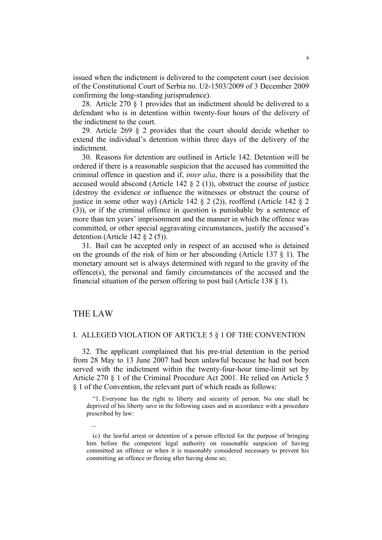issued when the indictment is delivered to the competent court (see decision of the Constitutional Court of Serbia no. Už-1503/2009 of 3 December 2009 confirming the long-standing jurisprudence).

28. Article 270 § 1 provides that an indictment should be delivered to a defendant who is in detention within twenty-four hours of the delivery of the indictment to the court.

29. Article 269 § 2 provides that the court should decide whether to extend the individual's detention within three days of the delivery of the indictment.

30. Reasons for detention are outlined in Article 142. Detention will be ordered if there is a reasonable suspicion that the accused has committed the criminal offence in question and if, *inter alia*, there is a possibility that the accused would abscond (Article 142  $\S$  2 (1)), obstruct the course of justice (destroy the evidence or influence the witnesses or obstruct the course of justice in some other way) (Article 142 § 2 (2)), reoffend (Article 142 § 2 (3)), or if the criminal offence in question is punishable by a sentence of more than ten years' imprisonment and the manner in which the offence was committed, or other special aggravating circumstances, justify the accused's detention (Article 142 § 2 (5)).

31. Bail can be accepted only in respect of an accused who is detained on the grounds of the risk of him or her absconding (Article 137 § 1). The monetary amount set is always determined with regard to the gravity of the offence(s), the personal and family circumstances of the accused and the financial situation of the person offering to post bail (Article 138 § 1).

# THE LAW

...

### I. ALLEGED VIOLATION OF ARTICLE 5 § 1 OF THE CONVENTION

32. The applicant complained that his pre-trial detention in the period from 28 May to 13 June 2007 had been unlawful because he had not been served with the indictment within the twenty-four-hour time-limit set by Article 270 § 1 of the Criminal Procedure Act 2001. He relied on Article 5 § 1 of the Convention, the relevant part of which reads as follows:

 "1. Everyone has the right to liberty and security of person. No one shall be deprived of his liberty save in the following cases and in accordance with a procedure prescribed by law:

 <sup>(</sup>c) the lawful arrest or detention of a person effected for the purpose of bringing him before the competent legal authority on reasonable suspicion of having committed an offence or when it is reasonably considered necessary to prevent his committing an offence or fleeing after having done so;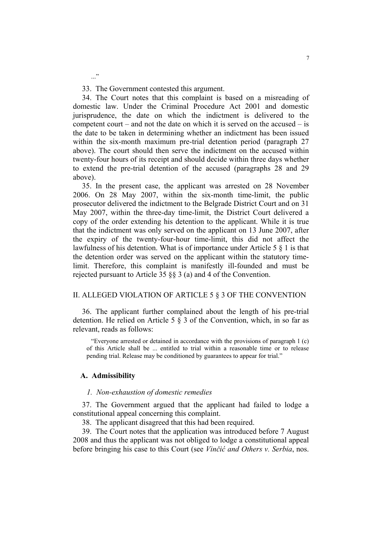33. The Government contested this argument.

..."

34. The Court notes that this complaint is based on a misreading of domestic law. Under the Criminal Procedure Act 2001 and domestic jurisprudence, the date on which the indictment is delivered to the competent court – and not the date on which it is served on the accused – is the date to be taken in determining whether an indictment has been issued within the six-month maximum pre-trial detention period (paragraph 27 above). The court should then serve the indictment on the accused within twenty-four hours of its receipt and should decide within three days whether to extend the pre-trial detention of the accused (paragraphs 28 and 29 above).

35. In the present case, the applicant was arrested on 28 November 2006. On 28 May 2007, within the six-month time-limit, the public prosecutor delivered the indictment to the Belgrade District Court and on 31 May 2007, within the three-day time-limit, the District Court delivered a copy of the order extending his detention to the applicant. While it is true that the indictment was only served on the applicant on 13 June 2007, after the expiry of the twenty-four-hour time-limit, this did not affect the lawfulness of his detention. What is of importance under Article 5 § 1 is that the detention order was served on the applicant within the statutory timelimit. Therefore, this complaint is manifestly ill-founded and must be rejected pursuant to Article 35 §§ 3 (a) and 4 of the Convention.

## II. ALLEGED VIOLATION OF ARTICLE 5 § 3 OF THE CONVENTION

36. The applicant further complained about the length of his pre-trial detention. He relied on Article 5 § 3 of the Convention, which, in so far as relevant, reads as follows:

"Everyone arrested or detained in accordance with the provisions of paragraph 1 (c) of this Article shall be ... entitled to trial within a reasonable time or to release pending trial. Release may be conditioned by guarantees to appear for trial."

### **A. Admissibility**

#### *1. Non-exhaustion of domestic remedies*

37. The Government argued that the applicant had failed to lodge a constitutional appeal concerning this complaint.

38. The applicant disagreed that this had been required.

39. The Court notes that the application was introduced before 7 August 2008 and thus the applicant was not obliged to lodge a constitutional appeal before bringing his case to this Court (see *Vinčić and Others v. Serbia*, nos.

7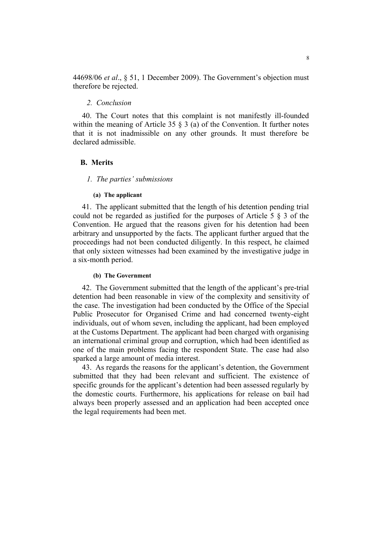44698/06 *et al*., § 51, 1 December 2009). The Government's objection must therefore be rejected.

# *2. Conclusion*

40. The Court notes that this complaint is not manifestly ill-founded within the meaning of Article 35 § 3 (a) of the Convention. It further notes that it is not inadmissible on any other grounds. It must therefore be declared admissible.

# **B. Merits**

# *1. The parties' submissions*

### **(a) The applicant**

41. The applicant submitted that the length of his detention pending trial could not be regarded as justified for the purposes of Article 5 § 3 of the Convention. He argued that the reasons given for his detention had been arbitrary and unsupported by the facts. The applicant further argued that the proceedings had not been conducted diligently. In this respect, he claimed that only sixteen witnesses had been examined by the investigative judge in a six-month period.

#### **(b) The Government**

42. The Government submitted that the length of the applicant's pre-trial detention had been reasonable in view of the complexity and sensitivity of the case. The investigation had been conducted by the Office of the Special Public Prosecutor for Organised Crime and had concerned twenty-eight individuals, out of whom seven, including the applicant, had been employed at the Customs Department. The applicant had been charged with organising an international criminal group and corruption, which had been identified as one of the main problems facing the respondent State. The case had also sparked a large amount of media interest.

43. As regards the reasons for the applicant's detention, the Government submitted that they had been relevant and sufficient. The existence of specific grounds for the applicant's detention had been assessed regularly by the domestic courts. Furthermore, his applications for release on bail had always been properly assessed and an application had been accepted once the legal requirements had been met.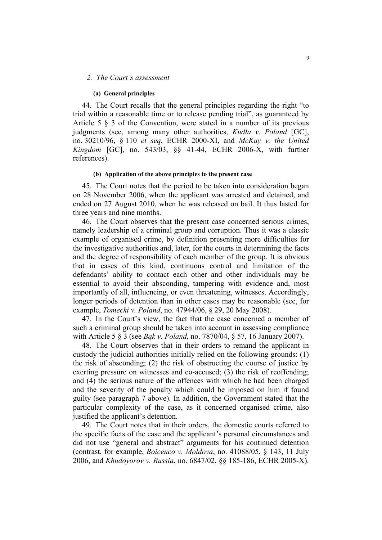#### *2. The Court's assessment*

#### **(a) General principles**

44. The Court recalls that the general principles regarding the right "to trial within a reasonable time or to release pending trial", as guaranteed by Article 5 § 3 of the Convention, were stated in a number of its previous judgments (see, among many other authorities, *Kudła v. Poland* [GC], no. 30210/96, § 110 *et seq*, ECHR 2000-XI, and *McKay v. the United Kingdom* [GC], no. 543/03, §§ 41-44, ECHR 2006-X, with further references).

#### **(b) Application of the above principles to the present case**

45. The Court notes that the period to be taken into consideration began on 28 November 2006, when the applicant was arrested and detained, and ended on 27 August 2010, when he was released on bail. It thus lasted for three years and nine months.

46. The Court observes that the present case concerned serious crimes, namely leadership of a criminal group and corruption. Thus it was a classic example of organised crime, by definition presenting more difficulties for the investigative authorities and, later, for the courts in determining the facts and the degree of responsibility of each member of the group. It is obvious that in cases of this kind, continuous control and limitation of the defendants' ability to contact each other and other individuals may be essential to avoid their absconding, tampering with evidence and, most importantly of all, influencing, or even threatening, witnesses. Accordingly, longer periods of detention than in other cases may be reasonable (see, for example, *Tomecki v. Poland*, no. 47944/06, § 29, 20 May 2008).

47. In the Court's view, the fact that the case concerned a member of such a criminal group should be taken into account in assessing compliance with Article 5 § 3 (see *Bąk v. Poland*, no. 7870/04, § 57, 16 January 2007).

48. The Court observes that in their orders to remand the applicant in custody the judicial authorities initially relied on the following grounds: (1) the risk of absconding; (2) the risk of obstructing the course of justice by exerting pressure on witnesses and co-accused; (3) the risk of reoffending; and (4) the serious nature of the offences with which he had been charged and the severity of the penalty which could be imposed on him if found guilty (see paragraph 7 above). In addition, the Government stated that the particular complexity of the case, as it concerned organised crime, also justified the applicant's detention.

49. The Court notes that in their orders, the domestic courts referred to the specific facts of the case and the applicant's personal circumstances and did not use "general and abstract" arguments for his continued detention (contrast, for example, *Boicenco v. Moldova*, no. 41088/05, § 143, 11 July 2006, and *Khudoyorov v. Russia*, no. 6847/02, §§ 185-186, ECHR 2005-X).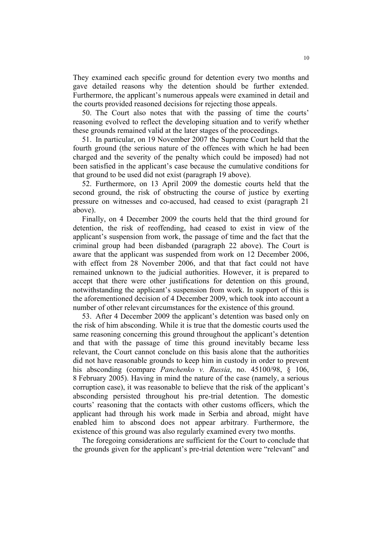They examined each specific ground for detention every two months and gave detailed reasons why the detention should be further extended. Furthermore, the applicant's numerous appeals were examined in detail and the courts provided reasoned decisions for rejecting those appeals.

50. The Court also notes that with the passing of time the courts' reasoning evolved to reflect the developing situation and to verify whether these grounds remained valid at the later stages of the proceedings.

51. In particular, on 19 November 2007 the Supreme Court held that the fourth ground (the serious nature of the offences with which he had been charged and the severity of the penalty which could be imposed) had not been satisfied in the applicant's case because the cumulative conditions for that ground to be used did not exist (paragraph 19 above).

52. Furthermore, on 13 April 2009 the domestic courts held that the second ground, the risk of obstructing the course of justice by exerting pressure on witnesses and co-accused, had ceased to exist (paragraph 21 above).

Finally, on 4 December 2009 the courts held that the third ground for detention, the risk of reoffending, had ceased to exist in view of the applicant's suspension from work, the passage of time and the fact that the criminal group had been disbanded (paragraph 22 above). The Court is aware that the applicant was suspended from work on 12 December 2006, with effect from 28 November 2006, and that that fact could not have remained unknown to the judicial authorities. However, it is prepared to accept that there were other justifications for detention on this ground, notwithstanding the applicant's suspension from work. In support of this is the aforementioned decision of 4 December 2009, which took into account a number of other relevant circumstances for the existence of this ground.

53. After 4 December 2009 the applicant's detention was based only on the risk of him absconding. While it is true that the domestic courts used the same reasoning concerning this ground throughout the applicant's detention and that with the passage of time this ground inevitably became less relevant, the Court cannot conclude on this basis alone that the authorities did not have reasonable grounds to keep him in custody in order to prevent his absconding (compare *Panchenko v. Russia*, no. 45100/98, § 106, 8 February 2005). Having in mind the nature of the case (namely, a serious corruption case), it was reasonable to believe that the risk of the applicant's absconding persisted throughout his pre-trial detention. The domestic courts' reasoning that the contacts with other customs officers, which the applicant had through his work made in Serbia and abroad, might have enabled him to abscond does not appear arbitrary. Furthermore, the existence of this ground was also regularly examined every two months.

The foregoing considerations are sufficient for the Court to conclude that the grounds given for the applicant's pre-trial detention were "relevant" and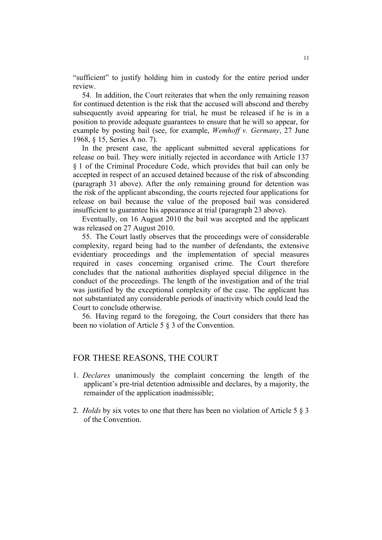"sufficient" to justify holding him in custody for the entire period under review.

54. In addition, the Court reiterates that when the only remaining reason for continued detention is the risk that the accused will abscond and thereby subsequently avoid appearing for trial, he must be released if he is in a position to provide adequate guarantees to ensure that he will so appear, for example by posting bail (see, for example, *Wemhoff v. Germany*, 27 June 1968, § 15, Series A no. 7).

In the present case, the applicant submitted several applications for release on bail. They were initially rejected in accordance with Article 137 § 1 of the Criminal Procedure Code, which provides that bail can only be accepted in respect of an accused detained because of the risk of absconding (paragraph 31 above). After the only remaining ground for detention was the risk of the applicant absconding, the courts rejected four applications for release on bail because the value of the proposed bail was considered insufficient to guarantee his appearance at trial (paragraph 23 above).

Eventually, on 16 August 2010 the bail was accepted and the applicant was released on 27 August 2010.

55. The Court lastly observes that the proceedings were of considerable complexity, regard being had to the number of defendants, the extensive evidentiary proceedings and the implementation of special measures required in cases concerning organised crime. The Court therefore concludes that the national authorities displayed special diligence in the conduct of the proceedings. The length of the investigation and of the trial was justified by the exceptional complexity of the case. The applicant has not substantiated any considerable periods of inactivity which could lead the Court to conclude otherwise.

56. Having regard to the foregoing, the Court considers that there has been no violation of Article 5 § 3 of the Convention.

# FOR THESE REASONS, THE COURT

- 1. *Declares* unanimously the complaint concerning the length of the applicant's pre-trial detention admissible and declares, by a majority, the remainder of the application inadmissible;
- 2. *Holds* by six votes to one that there has been no violation of Article 5 § 3 of the Convention.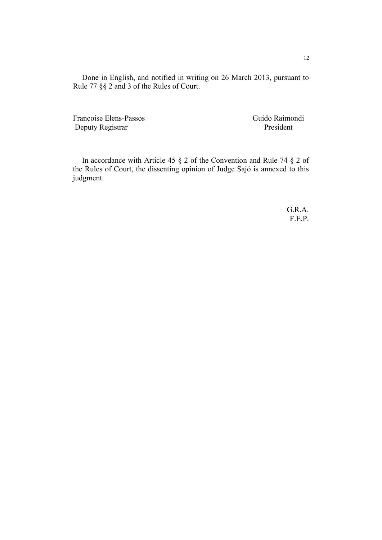Done in English, and notified in writing on 26 March 2013, pursuant to Rule 77 §§ 2 and 3 of the Rules of Court.

Françoise Elens-Passos Guido Raimondi Deputy Registrar President

In accordance with Article 45 § 2 of the Convention and Rule 74 § 2 of the Rules of Court, the dissenting opinion of Judge Sajó is annexed to this judgment.

> G.R.A. F.E.P.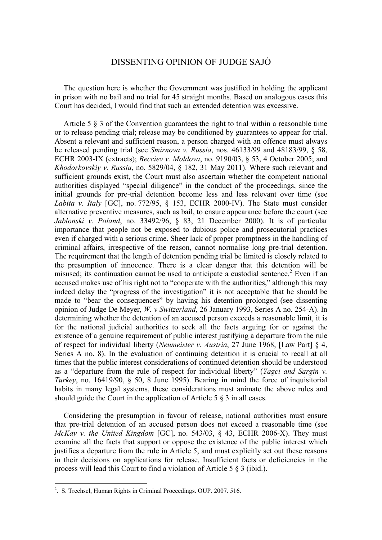# DISSENTING OPINION OF JUDGE SAJÓ

The question here is whether the Government was justified in holding the applicant in prison with no bail and no trial for 45 straight months. Based on analogous cases this Court has decided, I would find that such an extended detention was excessive.

Article 5 § 3 of the Convention guarantees the right to trial within a reasonable time or to release pending trial; release may be conditioned by guarantees to appear for trial. Absent a relevant and sufficient reason, a person charged with an offence must always be released pending trial (see *Smirnova v. Russia*, nos. 46133/99 and 48183/99, § 58, ECHR 2003-IX (extracts); *Becciev v. Moldova*, no. 9190/03, § 53, 4 October 2005; and *Khodorkovskiy v. Russia*, no. 5829/04, § 182, 31 May 2011). Where such relevant and sufficient grounds exist, the Court must also ascertain whether the competent national authorities displayed "special diligence" in the conduct of the proceedings, since the initial grounds for pre-trial detention become less and less relevant over time (see *Labita v. Italy* [GC], no. 772/95, § 153, ECHR 2000-IV). The State must consider alternative preventive measures, such as bail, to ensure appearance before the court (see *Jablonski v. Poland*, no. 33492/96, § 83, 21 December 2000). It is of particular importance that people not be exposed to dubious police and prosecutorial practices even if charged with a serious crime. Sheer lack of proper promptness in the handling of criminal affairs, irrespective of the reason, cannot normalise long pre-trial detention. The requirement that the length of detention pending trial be limited is closely related to the presumption of innocence. There is a clear danger that this detention will be misused; its continuation cannot be used to anticipate a custodial sentence.<sup>2</sup> Even if an accused makes use of his right not to "cooperate with the authorities," although this may indeed delay the "progress of the investigation" it is not acceptable that he should be made to "bear the consequences" by having his detention prolonged (see dissenting opinion of Judge De Meyer, *W. v Switzerland*, 26 January 1993, Series A no. 254-A). In determining whether the detention of an accused person exceeds a reasonable limit, it is for the national judicial authorities to seek all the facts arguing for or against the existence of a genuine requirement of public interest justifying a departure from the rule of respect for individual liberty (*Neumeister v. Austria*, 27 June 1968, [Law Part] § 4, Series A no. 8). In the evaluation of continuing detention it is crucial to recall at all times that the public interest considerations of continued detention should be understood as a "departure from the rule of respect for individual liberty" (*Yagci and Sargin v. Turkey*, no. 16419/90, § 50, 8 June 1995). Bearing in mind the force of inquisitorial habits in many legal systems, these considerations must animate the above rules and should guide the Court in the application of Article 5 § 3 in all cases.

Considering the presumption in favour of release, national authorities must ensure that pre-trial detention of an accused person does not exceed a reasonable time (see *McKay v. the United Kingdom* [GC], no. 543/03, § 43, ECHR 2006-X). They must examine all the facts that support or oppose the existence of the public interest which justifies a departure from the rule in Article 5, and must explicitly set out these reasons in their decisions on applications for release. Insufficient facts or deficiencies in the process will lead this Court to find a violation of Article 5 § 3 (ibid.).

<u>.</u>

<sup>&</sup>lt;sup>2</sup>. S. Trechsel, Human Rights in Criminal Proceedings. OUP. 2007. 516.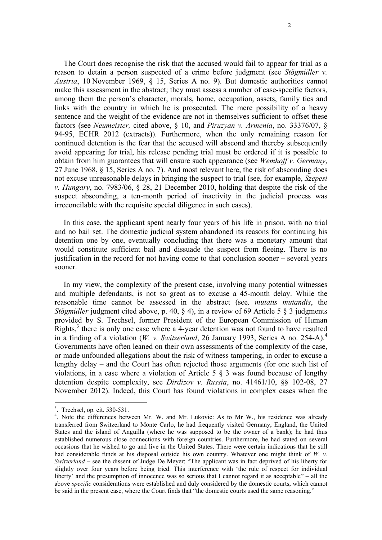The Court does recognise the risk that the accused would fail to appear for trial as a reason to detain a person suspected of a crime before judgment (see *Stögmüller v. Austria*, 10 November 1969, § 15, Series A no. 9). But domestic authorities cannot make this assessment in the abstract; they must assess a number of case-specific factors, among them the person's character, morals, home, occupation, assets, family ties and links with the country in which he is prosecuted. The mere possibility of a heavy sentence and the weight of the evidence are not in themselves sufficient to offset these factors (see *Neumeister,* cited above, § 10, and *Piruzyan v. Armenia*, no. 33376/07, § 94-95, ECHR 2012 (extracts)). Furthermore, when the only remaining reason for continued detention is the fear that the accused will abscond and thereby subsequently avoid appearing for trial, his release pending trial must be ordered if it is possible to obtain from him guarantees that will ensure such appearance (see *Wemhoff v. Germany*, 27 June 1968, § 15, Series A no. 7). And most relevant here, the risk of absconding does not excuse unreasonable delays in bringing the suspect to trial (see, for example, *Szepesi v. Hungary*, no. 7983/06, § 28, 21 December 2010, holding that despite the risk of the suspect absconding, a ten-month period of inactivity in the judicial process was irreconcilable with the requisite special diligence in such cases).

In this case, the applicant spent nearly four years of his life in prison, with no trial and no bail set. The domestic judicial system abandoned its reasons for continuing his detention one by one, eventually concluding that there was a monetary amount that would constitute sufficient bail and dissuade the suspect from fleeing. There is no justification in the record for not having come to that conclusion sooner – several years sooner.

In my view, the complexity of the present case, involving many potential witnesses and multiple defendants, is not so great as to excuse a 45-month delay. While the reasonable time cannot be assessed in the abstract (see*, mutatis mutandis*, the *Stögmüller* judgment cited above, p. 40, § 4), in a review of 69 Article 5 § 3 judgments provided by S. Trechsel, former President of the European Commission of Human Rights, $3$  there is only one case where a 4-year detention was not found to have resulted in a finding of a violation (*W. v. Switzerland*, 26 January 1993, Series A no. 254-A).<sup>4</sup> Governments have often leaned on their own assessments of the complexity of the case, or made unfounded allegations about the risk of witness tampering, in order to excuse a lengthy delay – and the Court has often rejected those arguments (for one such list of violations, in a case where a violation of Article 5 § 3 was found because of lengthy detention despite complexity, see *Dirdizov v. Russia*, no. 41461/10, §§ 102-08, 27 November 2012). Indeed, this Court has found violations in complex cases when the

1

<sup>3</sup> . Trechsel, op. cit. 530-531.

<sup>&</sup>lt;sup>4</sup>. Note the differences between Mr. W. and Mr. Lukovic: As to Mr W., his residence was already transferred from Switzerland to Monte Carlo, he had frequently visited Germany, England, the United States and the island of Anguilla (where he was supposed to be the owner of a bank); he had thus established numerous close connections with foreign countries. Furthermore, he had stated on several occasions that he wished to go and live in the United States. There were certain indications that he still had considerable funds at his disposal outside his own country. Whatever one might think of *W. v. Switzerland –* see the dissent of Judge De Meyer: "The applicant was in fact deprived of his liberty for slightly over four years before being tried. This interference with 'the rule of respect for individual liberty' and the presumption of innocence was so serious that I cannot regard it as acceptable" – all the above *specific* considerations were established and duly considered by the domestic courts, which cannot be said in the present case, where the Court finds that "the domestic courts used the same reasoning."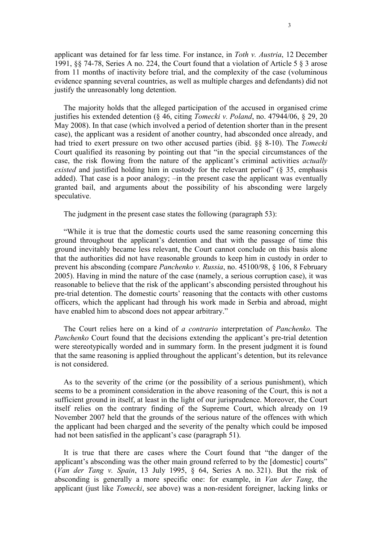applicant was detained for far less time. For instance, in *Toth v. Austria*, 12 December 1991, §§ 74-78, Series A no. 224, the Court found that a violation of Article 5 § 3 arose from 11 months of inactivity before trial, and the complexity of the case (voluminous evidence spanning several countries, as well as multiple charges and defendants) did not justify the unreasonably long detention.

The majority holds that the alleged participation of the accused in organised crime justifies his extended detention (§ 46, citing *Tomecki v. Poland*, no. 47944/06, § 29, 20 May 2008). In that case (which involved a period of detention shorter than in the present case), the applicant was a resident of another country, had absconded once already, and had tried to exert pressure on two other accused parties (ibid. §§ 8-10). The *Tomecki*  Court qualified its reasoning by pointing out that "in the special circumstances of the case, the risk flowing from the nature of the applicant's criminal activities *actually existed* and justified holding him in custody for the relevant period" (§ 35, emphasis added). That case is a poor analogy; –in the present case the applicant was eventually granted bail, and arguments about the possibility of his absconding were largely speculative.

The judgment in the present case states the following (paragraph 53):

"While it is true that the domestic courts used the same reasoning concerning this ground throughout the applicant's detention and that with the passage of time this ground inevitably became less relevant, the Court cannot conclude on this basis alone that the authorities did not have reasonable grounds to keep him in custody in order to prevent his absconding (compare *Panchenko v. Russia*, no. 45100/98, § 106, 8 February 2005). Having in mind the nature of the case (namely, a serious corruption case), it was reasonable to believe that the risk of the applicant's absconding persisted throughout his pre-trial detention. The domestic courts' reasoning that the contacts with other customs officers, which the applicant had through his work made in Serbia and abroad, might have enabled him to abscond does not appear arbitrary."

The Court relies here on a kind of *a contrario* interpretation of *Panchenko.* The *Panchenko* Court found that the decisions extending the applicant's pre-trial detention were stereotypically worded and in summary form. In the present judgment it is found that the same reasoning is applied throughout the applicant's detention, but its relevance is not considered.

As to the severity of the crime (or the possibility of a serious punishment), which seems to be a prominent consideration in the above reasoning of the Court, this is not a sufficient ground in itself, at least in the light of our jurisprudence. Moreover, the Court itself relies on the contrary finding of the Supreme Court, which already on 19 November 2007 held that the grounds of the serious nature of the offences with which the applicant had been charged and the severity of the penalty which could be imposed had not been satisfied in the applicant's case (paragraph 51).

It is true that there are cases where the Court found that "the danger of the applicant's absconding was the other main ground referred to by the [domestic] courts" (*Van der Tang v. Spain*, 13 July 1995, § 64, Series A no. 321). But the risk of absconding is generally a more specific one: for example, in *Van der Tang*, the applicant (just like *Tomecki*, see above) was a non-resident foreigner, lacking links or